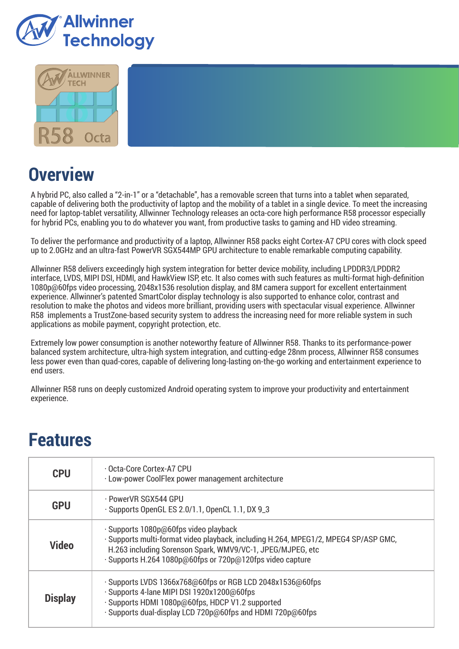



# **Overview**

A hybrid PC, also called a "2-in-1" or a "detachable", has a removable screen that turns into a tablet when separated, capable of delivering both the productivity of laptop and the mobility of a tablet in a single device. To meet the increasing need for laptop-tablet versatility, Allwinner Technology releases an octa-core high performance R58 processor especially for hybrid PCs, enabling you to do whatever you want, from productive tasks to gaming and HD video streaming.

To deliver the performance and productivity of a laptop, Allwinner R58 packs eight Cortex-A7 CPU cores with clock speed up to 2.0GHz and an ultra-fast PowerVR SGX544MP GPU architecture to enable remarkable computing capability.

Allwinner R58 delivers exceedingly high system integration for better device mobility, including LPDDR3/LPDDR2 interface, LVDS, MIPI DSI, HDMI, and HawkView ISP, etc. It also comes with such features as multi-format high-definition 1080p@60fps video processing, 2048x1536 resolution display, and 8M camera support for excellent entertainment experience. Allwinner's patented SmartColor display technology is also supported to enhance color, contrast and resolution to make the photos and videos more brilliant, providing users with spectacular visual experience. Allwinner R58 implements a TrustZone-based security system to address the increasing need for more reliable system in such applications as mobile payment, copyright protection, etc.

Extremely low power consumption is another noteworthy feature of Allwinner R58. Thanks to its performance-power balanced system architecture, ultra-high system integration, and cutting-edge 28nm process, Allwinner R58 consumes less power even than quad-cores, capable of delivering long-lasting on-the-go working and entertainment experience to end users.

Allwinner R58 runs on deeply customized Android operating system to improve your productivity and entertainment experience.

## **Features**

| <b>CPU</b>     | · Octa-Core Cortex-A7 CPU<br>· Low-power CoolFlex power management architecture                                                                                                                                                                         |
|----------------|---------------------------------------------------------------------------------------------------------------------------------------------------------------------------------------------------------------------------------------------------------|
| <b>GPU</b>     | · PowerVR SGX544 GPU<br>· Supports OpenGL ES 2.0/1.1, OpenCL 1.1, DX 9_3                                                                                                                                                                                |
| <b>Video</b>   | · Supports 1080p@60fps video playback<br>· Supports multi-format video playback, including H.264, MPEG1/2, MPEG4 SP/ASP GMC,<br>H.263 including Sorenson Spark, WMV9/VC-1, JPEG/MJPEG, etc<br>· Supports H.264 1080p@60fps or 720p@120fps video capture |
| <b>Display</b> | · Supports LVDS 1366x768@60fps or RGB LCD 2048x1536@60fps<br>· Supports 4-lane MIPI DSI 1920x1200@60fps<br>· Supports HDMI 1080p@60fps, HDCP V1.2 supported<br>· Supports dual-display LCD 720p@60fps and HDMI 720p@60fps                               |